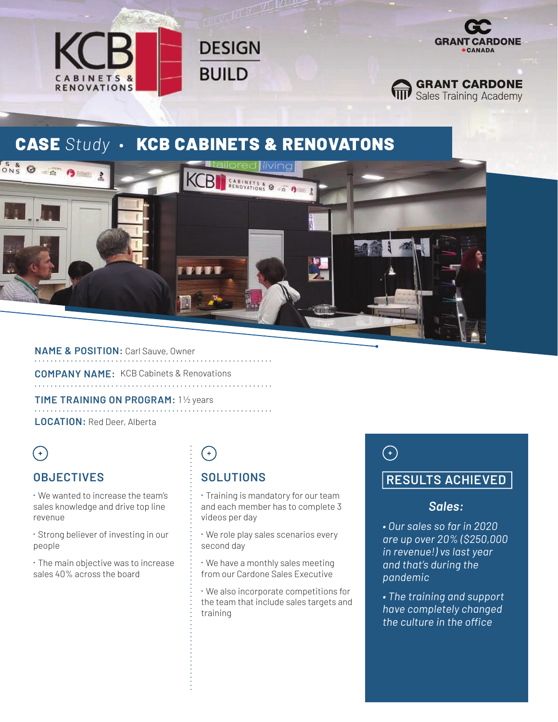



**GRANT CARDONE**<br>**Training Academy** 

### **CASE Study · KCB CABINETS & RENOVATONS**

**DESIGN** 

**BUILD** 



**NAME & POSITION:** Carl Sauve, Owner

**COMPANY NAME:** KCB Cabinets & Renovations

**TIME TRAINING ON PROGRAM:** 1 ½ years **LOCATION:** Red Deer, Alberta

## $\bigodot$

#### **OBJECTIVES**

⁌ We wanted to increase the team's sales knowledge and drive top line revenue

⁌ Strong believer of investing in our people

⁌ The main objective was to increase sales 40% across the board

# $\bigodot$

### **SOLUTIONS**

⁌ Training is mandatory for our team and each member has to complete 3 videos per day

⁌ We role play sales scenarios every second day

⁌ We have a monthly sales meeting from our Cardone Sales Executive

⁌ We also incorporate competitions for the team that include sales targets and training

# $\bigodot$

#### **RESULTS ACHIEVED**

#### *Sales:*

*• Our sales so far in 2020 are up over 20% (\$250,000 in revenue!) vs last year and that's during the pandemic* 

*• The training and support have completely changed the culture in the office*